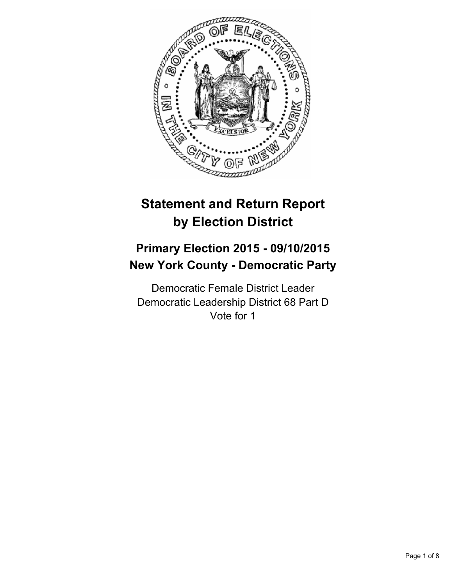

# **Statement and Return Report by Election District**

## **Primary Election 2015 - 09/10/2015 New York County - Democratic Party**

Democratic Female District Leader Democratic Leadership District 68 Part D Vote for 1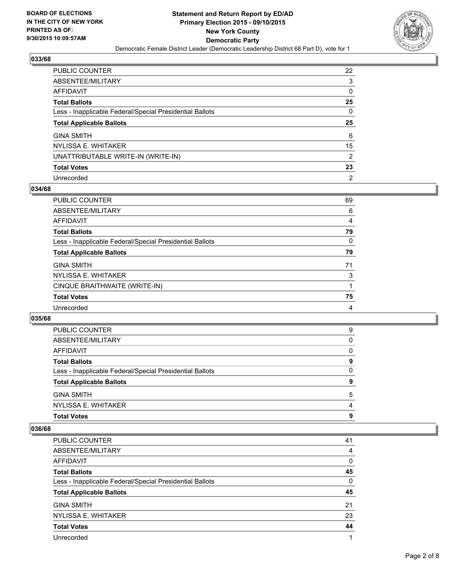

| PUBLIC COUNTER                                           | $22 \overline{ }$ |
|----------------------------------------------------------|-------------------|
| ABSENTEE/MILITARY                                        | 3                 |
| AFFIDAVIT                                                | 0                 |
| Total Ballots                                            | 25                |
| Less - Inapplicable Federal/Special Presidential Ballots | 0                 |
| <b>Total Applicable Ballots</b>                          | 25                |
| <b>GINA SMITH</b>                                        | 6                 |
| NYLISSA E. WHITAKER                                      | 15                |
| UNATTRIBUTABLE WRITE-IN (WRITE-IN)                       | 2                 |
| <b>Total Votes</b>                                       | 23                |
| Unrecorded                                               | 2                 |

#### **034/68**

| <b>PUBLIC COUNTER</b>                                    | 69 |
|----------------------------------------------------------|----|
| ABSENTEE/MILITARY                                        | 6  |
| AFFIDAVIT                                                | 4  |
| <b>Total Ballots</b>                                     | 79 |
| Less - Inapplicable Federal/Special Presidential Ballots | 0  |
| <b>Total Applicable Ballots</b>                          | 79 |
| <b>GINA SMITH</b>                                        | 71 |
| NYLISSA E. WHITAKER                                      | 3  |
| CINQUE BRAITHWAITE (WRITE-IN)                            |    |
| <b>Total Votes</b>                                       | 75 |
| Unrecorded                                               | 4  |

#### **035/68**

| <b>PUBLIC COUNTER</b>                                    | 9 |
|----------------------------------------------------------|---|
| ABSENTEE/MILITARY                                        | 0 |
| AFFIDAVIT                                                | 0 |
| <b>Total Ballots</b>                                     | 9 |
| Less - Inapplicable Federal/Special Presidential Ballots | 0 |
| <b>Total Applicable Ballots</b>                          | 9 |
| <b>GINA SMITH</b>                                        | 5 |
| NYLISSA E. WHITAKER                                      | 4 |
| <b>Total Votes</b>                                       | 9 |
|                                                          |   |

| <b>PUBLIC COUNTER</b>                                    | 41 |
|----------------------------------------------------------|----|
| ABSENTEE/MILITARY                                        | 4  |
| AFFIDAVIT                                                | 0  |
| <b>Total Ballots</b>                                     | 45 |
| Less - Inapplicable Federal/Special Presidential Ballots | 0  |
| <b>Total Applicable Ballots</b>                          | 45 |
| <b>GINA SMITH</b>                                        | 21 |
| NYLISSA E. WHITAKER                                      | 23 |
| <b>Total Votes</b>                                       | 44 |
| Unrecorded                                               |    |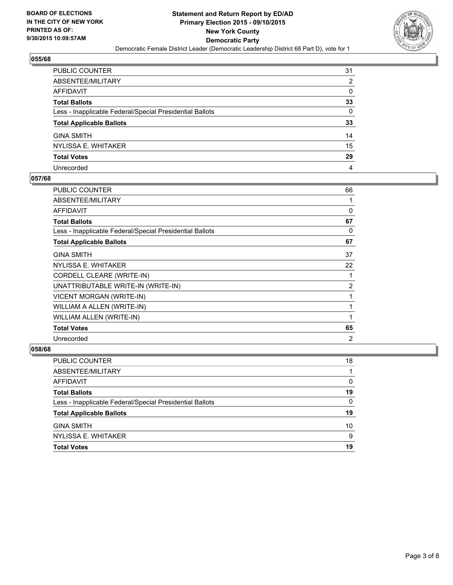

| PUBLIC COUNTER                                           | 31           |
|----------------------------------------------------------|--------------|
| ABSENTEE/MILITARY                                        | 2            |
| AFFIDAVIT                                                | $\mathbf{0}$ |
| <b>Total Ballots</b>                                     | 33           |
| Less - Inapplicable Federal/Special Presidential Ballots | 0            |
| <b>Total Applicable Ballots</b>                          | 33           |
| <b>GINA SMITH</b>                                        | 14           |
| NYLISSA E. WHITAKER                                      | 15           |
| <b>Total Votes</b>                                       | 29           |
| Unrecorded                                               | 4            |

#### **057/68**

| PUBLIC COUNTER                                           | 66       |
|----------------------------------------------------------|----------|
| ABSENTEE/MILITARY                                        |          |
| <b>AFFIDAVIT</b>                                         | $\Omega$ |
| <b>Total Ballots</b>                                     | 67       |
| Less - Inapplicable Federal/Special Presidential Ballots | 0        |
| <b>Total Applicable Ballots</b>                          | 67       |
| <b>GINA SMITH</b>                                        | 37       |
| NYLISSA E. WHITAKER                                      | 22       |
| CORDELL CLEARE (WRITE-IN)                                |          |
| UNATTRIBUTABLE WRITE-IN (WRITE-IN)                       | 2        |
| <b>VICENT MORGAN (WRITE-IN)</b>                          | 1        |
| WILLIAM A ALLEN (WRITE-IN)                               | 1        |
| WILLIAM ALLEN (WRITE-IN)                                 | 1        |
| <b>Total Votes</b>                                       | 65       |
| Unrecorded                                               | 2        |
|                                                          |          |

| PUBLIC COUNTER                                           | 18 |
|----------------------------------------------------------|----|
| ABSENTEE/MILITARY                                        |    |
| <b>AFFIDAVIT</b>                                         | 0  |
| <b>Total Ballots</b>                                     | 19 |
| Less - Inapplicable Federal/Special Presidential Ballots | 0  |
| <b>Total Applicable Ballots</b>                          | 19 |
| <b>GINA SMITH</b>                                        | 10 |
| NYLISSA E. WHITAKER                                      | 9  |
| <b>Total Votes</b>                                       | 19 |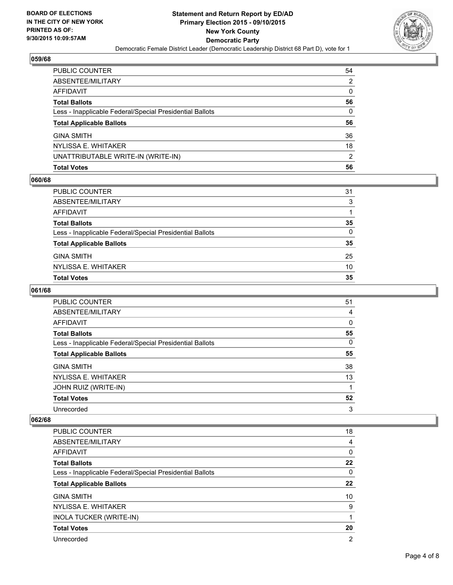

| PUBLIC COUNTER                                           | 54 |
|----------------------------------------------------------|----|
| ABSENTEE/MILITARY                                        | 2  |
| <b>AFFIDAVIT</b>                                         | 0  |
| <b>Total Ballots</b>                                     | 56 |
| Less - Inapplicable Federal/Special Presidential Ballots | 0  |
| <b>Total Applicable Ballots</b>                          | 56 |
| <b>GINA SMITH</b>                                        | 36 |
| NYLISSA E. WHITAKER                                      | 18 |
| UNATTRIBUTABLE WRITE-IN (WRITE-IN)                       | 2  |
| <b>Total Votes</b>                                       | 56 |

## **060/68**

| PUBLIC COUNTER                                           | 31 |
|----------------------------------------------------------|----|
| ABSENTEE/MILITARY                                        | 3  |
| AFFIDAVIT                                                |    |
| Total Ballots                                            | 35 |
| Less - Inapplicable Federal/Special Presidential Ballots | 0  |
| <b>Total Applicable Ballots</b>                          | 35 |
| GINA SMITH                                               | 25 |
| NYLISSA E. WHITAKER                                      | 10 |
| Total Votes                                              | 35 |
|                                                          |    |

## **061/68**

| <b>PUBLIC COUNTER</b>                                    | 51 |
|----------------------------------------------------------|----|
| ABSENTEE/MILITARY                                        | 4  |
| AFFIDAVIT                                                | 0  |
| <b>Total Ballots</b>                                     | 55 |
| Less - Inapplicable Federal/Special Presidential Ballots | 0  |
| <b>Total Applicable Ballots</b>                          | 55 |
| <b>GINA SMITH</b>                                        | 38 |
| NYLISSA E. WHITAKER                                      | 13 |
| JOHN RUIZ (WRITE-IN)                                     |    |
| <b>Total Votes</b>                                       | 52 |
| Unrecorded                                               | 3  |

| <b>PUBLIC COUNTER</b>                                    | 18             |
|----------------------------------------------------------|----------------|
| ABSENTEE/MILITARY                                        | 4              |
| AFFIDAVIT                                                | 0              |
| <b>Total Ballots</b>                                     | 22             |
| Less - Inapplicable Federal/Special Presidential Ballots | 0              |
| <b>Total Applicable Ballots</b>                          | 22             |
| <b>GINA SMITH</b>                                        | 10             |
| NYLISSA E. WHITAKER                                      | 9              |
| <b>INOLA TUCKER (WRITE-IN)</b>                           | 1              |
| <b>Total Votes</b>                                       | 20             |
| Unrecorded                                               | $\overline{2}$ |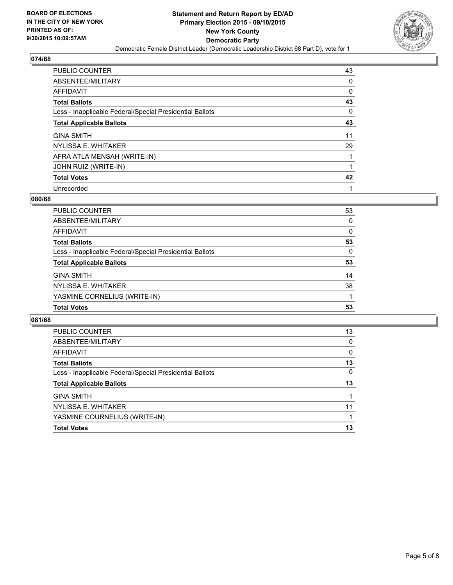

| PUBLIC COUNTER                                           | 43 |
|----------------------------------------------------------|----|
| ABSENTEE/MILITARY                                        | 0  |
| AFFIDAVIT                                                | 0  |
| <b>Total Ballots</b>                                     | 43 |
| Less - Inapplicable Federal/Special Presidential Ballots | 0  |
| <b>Total Applicable Ballots</b>                          | 43 |
| <b>GINA SMITH</b>                                        | 11 |
| NYLISSA E. WHITAKER                                      | 29 |
| AFRA ATLA MENSAH (WRITE-IN)                              |    |
| JOHN RUIZ (WRITE-IN)                                     | 1  |
| <b>Total Votes</b>                                       | 42 |
| Unrecorded                                               |    |

#### **080/68**

| PUBLIC COUNTER                                           | 53 |
|----------------------------------------------------------|----|
| ABSENTEE/MILITARY                                        | 0  |
| AFFIDAVIT                                                | 0  |
| <b>Total Ballots</b>                                     | 53 |
| Less - Inapplicable Federal/Special Presidential Ballots | 0  |
| <b>Total Applicable Ballots</b>                          | 53 |
| <b>GINA SMITH</b>                                        | 14 |
| NYLISSA E. WHITAKER                                      | 38 |
| YASMINE CORNELIUS (WRITE-IN)                             |    |
| <b>Total Votes</b>                                       | 53 |

| <b>PUBLIC COUNTER</b>                                    | 13 |
|----------------------------------------------------------|----|
| ABSENTEE/MILITARY                                        | 0  |
| AFFIDAVIT                                                | 0  |
| <b>Total Ballots</b>                                     | 13 |
| Less - Inapplicable Federal/Special Presidential Ballots | 0  |
| <b>Total Applicable Ballots</b>                          | 13 |
| <b>GINA SMITH</b>                                        |    |
| NYLISSA E. WHITAKER                                      | 11 |
| YASMINE COURNELIUS (WRITE-IN)                            |    |
| <b>Total Votes</b>                                       | 13 |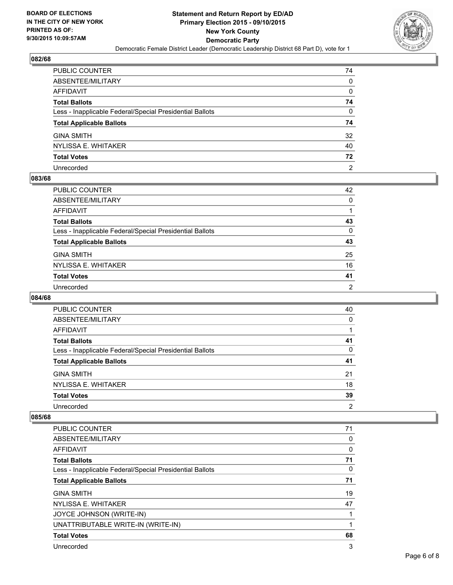

| PUBLIC COUNTER                                           | 74             |
|----------------------------------------------------------|----------------|
| ABSENTEE/MILITARY                                        | 0              |
| <b>AFFIDAVIT</b>                                         | 0              |
| <b>Total Ballots</b>                                     | 74             |
| Less - Inapplicable Federal/Special Presidential Ballots | 0              |
| <b>Total Applicable Ballots</b>                          | 74             |
| <b>GINA SMITH</b>                                        | 32             |
| NYLISSA E. WHITAKER                                      | 40             |
| <b>Total Votes</b>                                       | 72             |
| Unrecorded                                               | $\overline{2}$ |

#### **083/68**

| PUBLIC COUNTER                                           | 42           |
|----------------------------------------------------------|--------------|
| ABSENTEE/MILITARY                                        | $\mathbf{0}$ |
| AFFIDAVIT                                                |              |
| Total Ballots                                            | 43           |
| Less - Inapplicable Federal/Special Presidential Ballots | 0            |
| <b>Total Applicable Ballots</b>                          | 43           |
| GINA SMITH                                               | 25           |
| NYLISSA E. WHITAKER                                      | 16           |
| Total Votes                                              | 41           |
| Unrecorded                                               | 2            |

## **084/68**

| <b>PUBLIC COUNTER</b>                                    | 40 |
|----------------------------------------------------------|----|
| ABSENTEE/MILITARY                                        | 0  |
| AFFIDAVIT                                                |    |
| <b>Total Ballots</b>                                     | 41 |
| Less - Inapplicable Federal/Special Presidential Ballots | 0  |
| <b>Total Applicable Ballots</b>                          | 41 |
| <b>GINA SMITH</b>                                        | 21 |
| NYLISSA E. WHITAKER                                      | 18 |
| <b>Total Votes</b>                                       | 39 |
| Unrecorded                                               | 2  |

| PUBLIC COUNTER                                           | 71 |
|----------------------------------------------------------|----|
| ABSENTEE/MILITARY                                        | 0  |
| <b>AFFIDAVIT</b>                                         | 0  |
| <b>Total Ballots</b>                                     | 71 |
| Less - Inapplicable Federal/Special Presidential Ballots | 0  |
| <b>Total Applicable Ballots</b>                          | 71 |
| <b>GINA SMITH</b>                                        | 19 |
| NYLISSA E. WHITAKER                                      | 47 |
| JOYCE JOHNSON (WRITE-IN)                                 |    |
| UNATTRIBUTABLE WRITE-IN (WRITE-IN)                       |    |
| <b>Total Votes</b>                                       | 68 |
| Unrecorded                                               | 3  |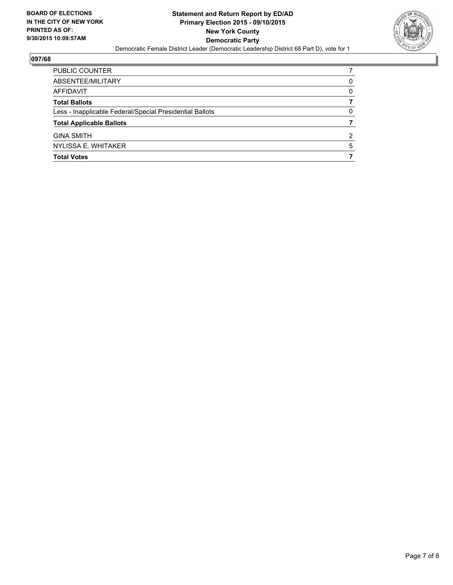

| PUBLIC COUNTER                                           |          |
|----------------------------------------------------------|----------|
| ABSENTEE/MILITARY                                        | $\Omega$ |
| AFFIDAVIT                                                | 0        |
| <b>Total Ballots</b>                                     |          |
| Less - Inapplicable Federal/Special Presidential Ballots | 0        |
| <b>Total Applicable Ballots</b>                          |          |
| <b>GINA SMITH</b>                                        | 2        |
| NYLISSA E. WHITAKER                                      | 5        |
| <b>Total Votes</b>                                       |          |